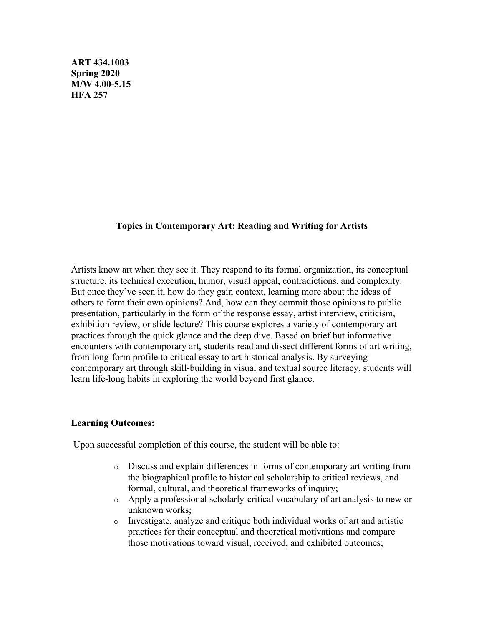**ART 434.1003 Spring 2020 M/W 4.00-5.15 HFA 257** 

## **Topics in Contemporary Art: Reading and Writing for Artists**

Artists know art when they see it. They respond to its formal organization, its conceptual structure, its technical execution, humor, visual appeal, contradictions, and complexity. But once they've seen it, how do they gain context, learning more about the ideas of others to form their own opinions? And, how can they commit those opinions to public presentation, particularly in the form of the response essay, artist interview, criticism, exhibition review, or slide lecture? This course explores a variety of contemporary art practices through the quick glance and the deep dive. Based on brief but informative encounters with contemporary art, students read and dissect different forms of art writing, from long-form profile to critical essay to art historical analysis. By surveying contemporary art through skill-building in visual and textual source literacy, students will learn life-long habits in exploring the world beyond first glance.

### **Learning Outcomes:**

Upon successful completion of this course, the student will be able to:

- o Discuss and explain differences in forms of contemporary art writing from the biographical profile to historical scholarship to critical reviews, and formal, cultural, and theoretical frameworks of inquiry;
- o Apply a professional scholarly-critical vocabulary of art analysis to new or unknown works;
- o Investigate, analyze and critique both individual works of art and artistic practices for their conceptual and theoretical motivations and compare those motivations toward visual, received, and exhibited outcomes;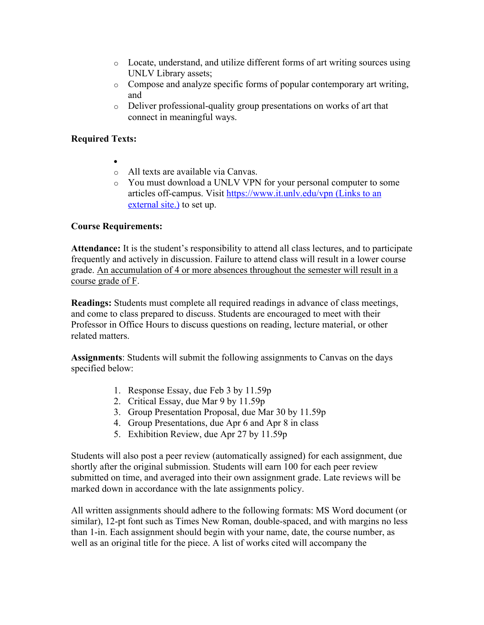- o Locate, understand, and utilize different forms of art writing sources using UNLV Library assets;
- o Compose and analyze specific forms of popular contemporary art writing, and
- o Deliver professional-quality group presentations on works of art that connect in meaningful ways.

# **Required Texts:**

- •
- o All texts are available via Canvas.
- o You must download a UNLV VPN for your personal computer to some articles off-campus. Visit https://www.it.unlv.edu/vpn (Links to an external site.) to set up.

## **Course Requirements:**

**Attendance:** It is the student's responsibility to attend all class lectures, and to participate frequently and actively in discussion. Failure to attend class will result in a lower course grade. An accumulation of 4 or more absences throughout the semester will result in a course grade of F.

**Readings:** Students must complete all required readings in advance of class meetings, and come to class prepared to discuss. Students are encouraged to meet with their Professor in Office Hours to discuss questions on reading, lecture material, or other related matters.

**Assignments**: Students will submit the following assignments to Canvas on the days specified below:

- 1. Response Essay, due Feb 3 by 11.59p
- 2. Critical Essay, due Mar 9 by 11.59p
- 3. Group Presentation Proposal, due Mar 30 by 11.59p
- 4. Group Presentations, due Apr 6 and Apr 8 in class
- 5. Exhibition Review, due Apr 27 by 11.59p

Students will also post a peer review (automatically assigned) for each assignment, due shortly after the original submission. Students will earn 100 for each peer review submitted on time, and averaged into their own assignment grade. Late reviews will be marked down in accordance with the late assignments policy.

All written assignments should adhere to the following formats: MS Word document (or similar), 12-pt font such as Times New Roman, double-spaced, and with margins no less than 1-in. Each assignment should begin with your name, date, the course number, as well as an original title for the piece. A list of works cited will accompany the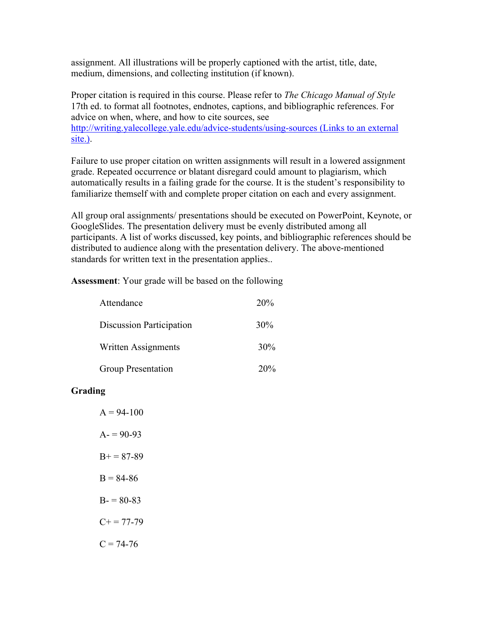assignment. All illustrations will be properly captioned with the artist, title, date, medium, dimensions, and collecting institution (if known).

Proper citation is required in this course. Please refer to *The Chicago Manual of Style* 17th ed. to format all footnotes, endnotes, captions, and bibliographic references. For advice on when, where, and how to cite sources, see http://writing.yalecollege.yale.edu/advice-students/using-sources (Links to an external site.).

Failure to use proper citation on written assignments will result in a lowered assignment grade. Repeated occurrence or blatant disregard could amount to plagiarism, which automatically results in a failing grade for the course. It is the student's responsibility to familiarize themself with and complete proper citation on each and every assignment.

All group oral assignments/ presentations should be executed on PowerPoint, Keynote, or GoogleSlides. The presentation delivery must be evenly distributed among all participants. A list of works discussed, key points, and bibliographic references should be distributed to audience along with the presentation delivery. The above-mentioned standards for written text in the presentation applies..

**Assessment**: Your grade will be based on the following

| Attendance                      | 20% |
|---------------------------------|-----|
| <b>Discussion Participation</b> | 30% |
| Written Assignments             | 30% |
| Group Presentation              | 20% |

## **Grading**

 $A = 94 - 100$  $A = 90-93$  $B+=87-89$  $B = 84-86$  $B = 80-83$  $C+= 77-79$  $C = 74-76$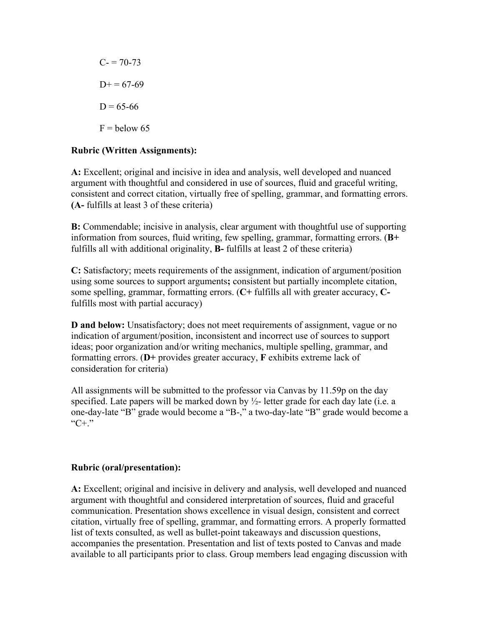$C = 70-73$  $D+= 67-69$  $D = 65-66$  $F =$  below 65

## **Rubric (Written Assignments):**

**A:** Excellent; original and incisive in idea and analysis, well developed and nuanced argument with thoughtful and considered in use of sources, fluid and graceful writing, consistent and correct citation, virtually free of spelling, grammar, and formatting errors. **(A-** fulfills at least 3 of these criteria)

**B:** Commendable; incisive in analysis, clear argument with thoughtful use of supporting information from sources, fluid writing, few spelling, grammar, formatting errors. (**B+**  fulfills all with additional originality, **B-** fulfills at least 2 of these criteria)

**C:** Satisfactory; meets requirements of the assignment, indication of argument/position using some sources to support arguments**;** consistent but partially incomplete citation, some spelling, grammar, formatting errors. (**C+** fulfills all with greater accuracy, **C**fulfills most with partial accuracy)

**D and below:** Unsatisfactory; does not meet requirements of assignment, vague or no indication of argument/position, inconsistent and incorrect use of sources to support ideas; poor organization and/or writing mechanics, multiple spelling, grammar, and formatting errors. (**D+** provides greater accuracy, **F** exhibits extreme lack of consideration for criteria)

All assignments will be submitted to the professor via Canvas by 11.59p on the day specified. Late papers will be marked down by  $\frac{1}{2}$ - letter grade for each day late (i.e. a one-day-late "B" grade would become a "B-," a two-day-late "B" grade would become a " $C+$ ."

## **Rubric (oral/presentation):**

**A:** Excellent; original and incisive in delivery and analysis, well developed and nuanced argument with thoughtful and considered interpretation of sources, fluid and graceful communication. Presentation shows excellence in visual design, consistent and correct citation, virtually free of spelling, grammar, and formatting errors. A properly formatted list of texts consulted, as well as bullet-point takeaways and discussion questions, accompanies the presentation. Presentation and list of texts posted to Canvas and made available to all participants prior to class. Group members lead engaging discussion with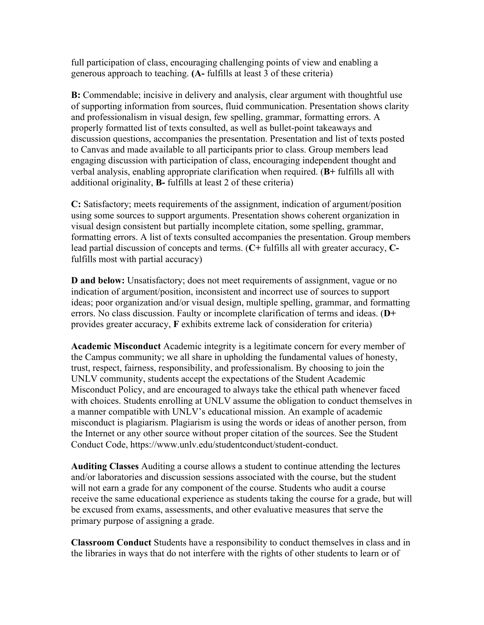full participation of class, encouraging challenging points of view and enabling a generous approach to teaching. **(A-** fulfills at least 3 of these criteria)

**B:** Commendable; incisive in delivery and analysis, clear argument with thoughtful use of supporting information from sources, fluid communication. Presentation shows clarity and professionalism in visual design, few spelling, grammar, formatting errors. A properly formatted list of texts consulted, as well as bullet-point takeaways and discussion questions, accompanies the presentation. Presentation and list of texts posted to Canvas and made available to all participants prior to class. Group members lead engaging discussion with participation of class, encouraging independent thought and verbal analysis, enabling appropriate clarification when required. (**B+** fulfills all with additional originality, **B-** fulfills at least 2 of these criteria)

**C:** Satisfactory; meets requirements of the assignment, indication of argument/position using some sources to support arguments. Presentation shows coherent organization in visual design consistent but partially incomplete citation, some spelling, grammar, formatting errors. A list of texts consulted accompanies the presentation. Group members lead partial discussion of concepts and terms. (**C+** fulfills all with greater accuracy, **C**fulfills most with partial accuracy)

**D and below:** Unsatisfactory; does not meet requirements of assignment, vague or no indication of argument/position, inconsistent and incorrect use of sources to support ideas; poor organization and/or visual design, multiple spelling, grammar, and formatting errors. No class discussion. Faulty or incomplete clarification of terms and ideas. (**D+** provides greater accuracy, **F** exhibits extreme lack of consideration for criteria)

**Academic Misconduct** Academic integrity is a legitimate concern for every member of the Campus community; we all share in upholding the fundamental values of honesty, trust, respect, fairness, responsibility, and professionalism. By choosing to join the UNLV community, students accept the expectations of the Student Academic Misconduct Policy, and are encouraged to always take the ethical path whenever faced with choices. Students enrolling at UNLV assume the obligation to conduct themselves in a manner compatible with UNLV's educational mission. An example of academic misconduct is plagiarism. Plagiarism is using the words or ideas of another person, from the Internet or any other source without proper citation of the sources. See the Student Conduct Code, https://www.unlv.edu/studentconduct/student-conduct.

**Auditing Classes** Auditing a course allows a student to continue attending the lectures and/or laboratories and discussion sessions associated with the course, but the student will not earn a grade for any component of the course. Students who audit a course receive the same educational experience as students taking the course for a grade, but will be excused from exams, assessments, and other evaluative measures that serve the primary purpose of assigning a grade.

**Classroom Conduct** Students have a responsibility to conduct themselves in class and in the libraries in ways that do not interfere with the rights of other students to learn or of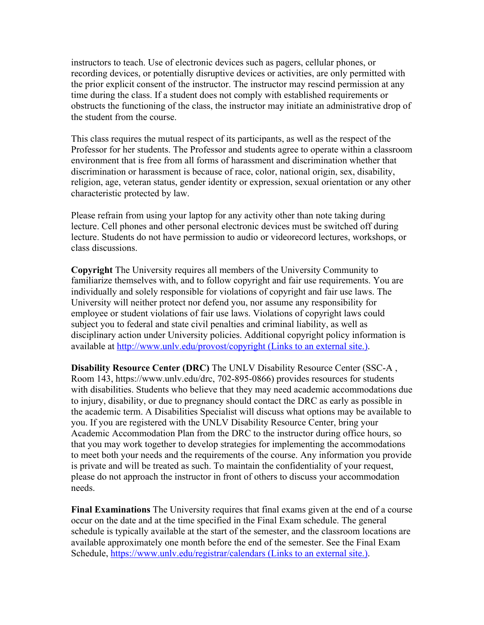instructors to teach. Use of electronic devices such as pagers, cellular phones, or recording devices, or potentially disruptive devices or activities, are only permitted with the prior explicit consent of the instructor. The instructor may rescind permission at any time during the class. If a student does not comply with established requirements or obstructs the functioning of the class, the instructor may initiate an administrative drop of the student from the course.

This class requires the mutual respect of its participants, as well as the respect of the Professor for her students. The Professor and students agree to operate within a classroom environment that is free from all forms of harassment and discrimination whether that discrimination or harassment is because of race, color, national origin, sex, disability, religion, age, veteran status, gender identity or expression, sexual orientation or any other characteristic protected by law.

Please refrain from using your laptop for any activity other than note taking during lecture. Cell phones and other personal electronic devices must be switched off during lecture. Students do not have permission to audio or videorecord lectures, workshops, or class discussions.

**Copyright** The University requires all members of the University Community to familiarize themselves with, and to follow copyright and fair use requirements. You are individually and solely responsible for violations of copyright and fair use laws. The University will neither protect nor defend you, nor assume any responsibility for employee or student violations of fair use laws. Violations of copyright laws could subject you to federal and state civil penalties and criminal liability, as well as disciplinary action under University policies. Additional copyright policy information is available at http://www.unlv.edu/provost/copyright (Links to an external site.).

**Disability Resource Center (DRC)** The UNLV Disability Resource Center (SSC-A , Room 143, https://www.unlv.edu/drc, 702-895-0866) provides resources for students with disabilities. Students who believe that they may need academic accommodations due to injury, disability, or due to pregnancy should contact the DRC as early as possible in the academic term. A Disabilities Specialist will discuss what options may be available to you. If you are registered with the UNLV Disability Resource Center, bring your Academic Accommodation Plan from the DRC to the instructor during office hours, so that you may work together to develop strategies for implementing the accommodations to meet both your needs and the requirements of the course. Any information you provide is private and will be treated as such. To maintain the confidentiality of your request, please do not approach the instructor in front of others to discuss your accommodation needs.

**Final Examinations** The University requires that final exams given at the end of a course occur on the date and at the time specified in the Final Exam schedule. The general schedule is typically available at the start of the semester, and the classroom locations are available approximately one month before the end of the semester. See the Final Exam Schedule, https://www.unlv.edu/registrar/calendars (Links to an external site.).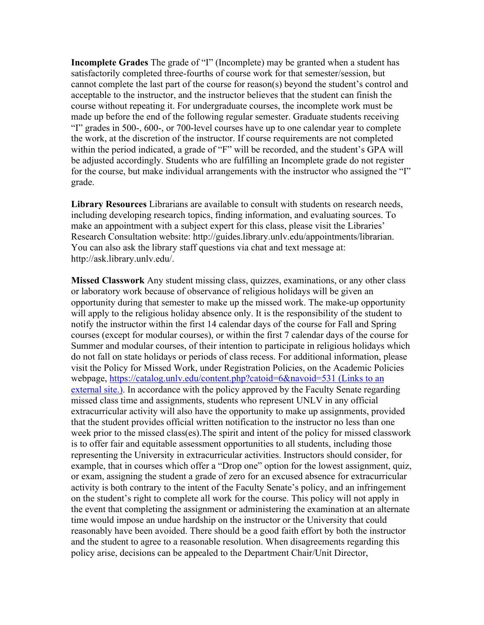**Incomplete Grades** The grade of "I" (Incomplete) may be granted when a student has satisfactorily completed three-fourths of course work for that semester/session, but cannot complete the last part of the course for reason(s) beyond the student's control and acceptable to the instructor, and the instructor believes that the student can finish the course without repeating it. For undergraduate courses, the incomplete work must be made up before the end of the following regular semester. Graduate students receiving "I" grades in 500-, 600-, or 700-level courses have up to one calendar year to complete the work, at the discretion of the instructor. If course requirements are not completed within the period indicated, a grade of "F" will be recorded, and the student's GPA will be adjusted accordingly. Students who are fulfilling an Incomplete grade do not register for the course, but make individual arrangements with the instructor who assigned the "I" grade.

**Library Resources** Librarians are available to consult with students on research needs, including developing research topics, finding information, and evaluating sources. To make an appointment with a subject expert for this class, please visit the Libraries' Research Consultation website: http://guides.library.unlv.edu/appointments/librarian. You can also ask the library staff questions via chat and text message at: http://ask.library.unlv.edu/.

**Missed Classwork** Any student missing class, quizzes, examinations, or any other class or laboratory work because of observance of religious holidays will be given an opportunity during that semester to make up the missed work. The make-up opportunity will apply to the religious holiday absence only. It is the responsibility of the student to notify the instructor within the first 14 calendar days of the course for Fall and Spring courses (except for modular courses), or within the first 7 calendar days of the course for Summer and modular courses, of their intention to participate in religious holidays which do not fall on state holidays or periods of class recess. For additional information, please visit the Policy for Missed Work, under Registration Policies, on the Academic Policies webpage, https://catalog.unlv.edu/content.php?catoid=6&navoid=531 (Links to an external site.). In accordance with the policy approved by the Faculty Senate regarding missed class time and assignments, students who represent UNLV in any official extracurricular activity will also have the opportunity to make up assignments, provided that the student provides official written notification to the instructor no less than one week prior to the missed class(es).The spirit and intent of the policy for missed classwork is to offer fair and equitable assessment opportunities to all students, including those representing the University in extracurricular activities. Instructors should consider, for example, that in courses which offer a "Drop one" option for the lowest assignment, quiz, or exam, assigning the student a grade of zero for an excused absence for extracurricular activity is both contrary to the intent of the Faculty Senate's policy, and an infringement on the student's right to complete all work for the course. This policy will not apply in the event that completing the assignment or administering the examination at an alternate time would impose an undue hardship on the instructor or the University that could reasonably have been avoided. There should be a good faith effort by both the instructor and the student to agree to a reasonable resolution. When disagreements regarding this policy arise, decisions can be appealed to the Department Chair/Unit Director,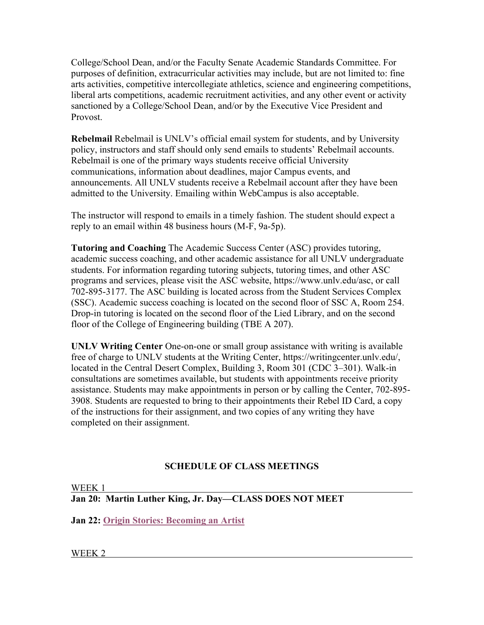College/School Dean, and/or the Faculty Senate Academic Standards Committee. For purposes of definition, extracurricular activities may include, but are not limited to: fine arts activities, competitive intercollegiate athletics, science and engineering competitions, liberal arts competitions, academic recruitment activities, and any other event or activity sanctioned by a College/School Dean, and/or by the Executive Vice President and Provost.

**Rebelmail** Rebelmail is UNLV's official email system for students, and by University policy, instructors and staff should only send emails to students' Rebelmail accounts. Rebelmail is one of the primary ways students receive official University communications, information about deadlines, major Campus events, and announcements. All UNLV students receive a Rebelmail account after they have been admitted to the University. Emailing within WebCampus is also acceptable.

The instructor will respond to emails in a timely fashion. The student should expect a reply to an email within 48 business hours (M-F, 9a-5p).

**Tutoring and Coaching** The Academic Success Center (ASC) provides tutoring, academic success coaching, and other academic assistance for all UNLV undergraduate students. For information regarding tutoring subjects, tutoring times, and other ASC programs and services, please visit the ASC website, https://www.unlv.edu/asc, or call 702-895-3177. The ASC building is located across from the Student Services Complex (SSC). Academic success coaching is located on the second floor of SSC A, Room 254. Drop-in tutoring is located on the second floor of the Lied Library, and on the second floor of the College of Engineering building (TBE A 207).

**UNLV Writing Center** One-on-one or small group assistance with writing is available free of charge to UNLV students at the Writing Center, https://writingcenter.unlv.edu/, located in the Central Desert Complex, Building 3, Room 301 (CDC 3–301). Walk-in consultations are sometimes available, but students with appointments receive priority assistance. Students may make appointments in person or by calling the Center, 702-895- 3908. Students are requested to bring to their appointments their Rebel ID Card, a copy of the instructions for their assignment, and two copies of any writing they have completed on their assignment.

## **SCHEDULE OF CLASS MEETINGS**

WEEK 1 **Jan 20: Martin Luther King, Jr. Day—CLASS DOES NOT MEET**

**Jan 22: Origin Stories: Becoming an Artist**

WEEK 2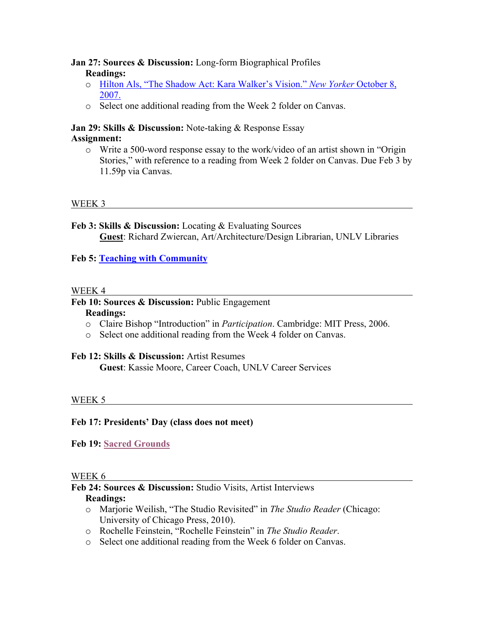## **Jan 27: Sources & Discussion:** Long-form Biographical Profiles **Readings:**

- o Hilton Als, "The Shadow Act: Kara Walker's Vision." *New Yorker* October 8, 2007.
- o Select one additional reading from the Week 2 folder on Canvas.

### **Jan 29: Skills & Discussion:** Note-taking & Response Essay **Assignment:**

o Write a 500-word response essay to the work/video of an artist shown in "Origin Stories," with reference to a reading from Week 2 folder on Canvas. Due Feb 3 by 11.59p via Canvas.

## WEEK 3

**Feb 3: Skills & Discussion:** Locating & Evaluating Sources **Guest**: Richard Zwiercan, Art/Architecture/Design Librarian, UNLV Libraries

## **Feb 5: Teaching with Community**

### WEEK 4

## **Feb 10: Sources & Discussion:** Public Engagement

### **Readings:**

- o Claire Bishop "Introduction" in *Participation*. Cambridge: MIT Press, 2006.
- o Select one additional reading from the Week 4 folder on Canvas.

## **Feb 12: Skills & Discussion:** Artist Resumes

**Guest**: Kassie Moore, Career Coach, UNLV Career Services

## WEEK 5

## **Feb 17: Presidents' Day (class does not meet)**

## **Feb 19: Sacred Grounds**

### WEEK 6

# **Feb 24: Sources & Discussion:** Studio Visits, Artist Interviews

## **Readings:**

- o Marjorie Weilish, "The Studio Revisited" in *The Studio Reader* (Chicago: University of Chicago Press, 2010).
- o Rochelle Feinstein, "Rochelle Feinstein" in *The Studio Reader*.
- o Select one additional reading from the Week 6 folder on Canvas.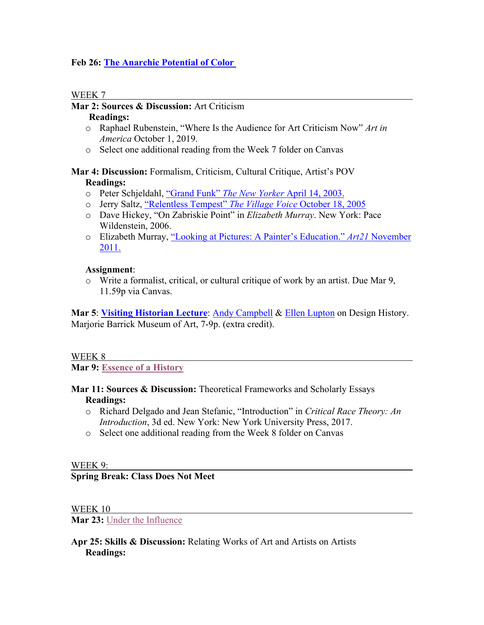## **Feb 26: The Anarchic Potential of Color**

### WEEK 7

## **Mar 2: Sources & Discussion:** Art Criticism

### **Readings:**

- o Raphael Rubenstein, "Where Is the Audience for Art Criticism Now" *Art in America* October 1, 2019.
- o Select one additional reading from the Week 7 folder on Canvas

## **Mar 4: Discussion:** Formalism, Criticism, Cultural Critique, Artist's POV **Readings:**

- o Peter Schjeldahl, "Grand Funk" *The New Yorker* April 14, 2003.
- o Jerry Saltz, "Relentless Tempest" *The Village Voice* October 18, 2005
- o Dave Hickey, "On Zabriskie Point" in *Elizabeth Murray*. New York: Pace Wildenstein, 2006.
- o Elizabeth Murray, "Looking at Pictures: A Painter's Education." *Art21* November 2011.

## **Assignment**:

 $\circ$  Write a formalist, critical, or cultural critique of work by an artist. Due Mar 9, 11.59p via Canvas.

Mar 5: Visiting Historian Lecture: Andy Campbell & Ellen Lupton on Design History. Marjorie Barrick Museum of Art, 7-9p. (extra credit).

### WEEK 8

**Mar 9: Essence of a History**

- **Mar 11: Sources & Discussion:** Theoretical Frameworks and Scholarly Essays **Readings:**
	- o Richard Delgado and Jean Stefanic, "Introduction" in *Critical Race Theory: An Introduction*, 3d ed. New York: New York University Press, 2017.
	- o Select one additional reading from the Week 8 folder on Canvas

## WEEK 9:

## **Spring Break: Class Does Not Meet**

## WEEK 10

**Mar 23:** Under the Influence

## **Apr 25: Skills & Discussion:** Relating Works of Art and Artists on Artists **Readings:**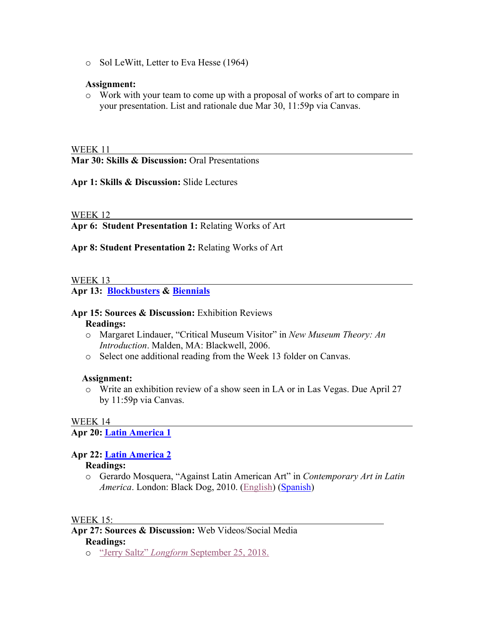o Sol LeWitt, Letter to Eva Hesse (1964)

### **Assignment:**

o Work with your team to come up with a proposal of works of art to compare in your presentation. List and rationale due Mar 30, 11:59p via Canvas.

#### WEEK 11

**Mar 30: Skills & Discussion:** Oral Presentations

**Apr 1: Skills & Discussion:** Slide Lectures

### WEEK 12

**Apr 6: Student Presentation 1:** Relating Works of Art

**Apr 8: Student Presentation 2:** Relating Works of Art

### WEEK 13

**Apr 13: Blockbusters & Biennials**

### **Apr 15: Sources & Discussion:** Exhibition Reviews

#### **Readings:**

- o Margaret Lindauer, "Critical Museum Visitor" in *New Museum Theory: An Introduction*. Malden, MA: Blackwell, 2006.
- o Select one additional reading from the Week 13 folder on Canvas.

### **Assignment:**

o Write an exhibition review of a show seen in LA or in Las Vegas. Due April 27 by 11:59p via Canvas.

### WEEK 14

**Apr 20: Latin America 1**

## **Apr 22: Latin America 2**

### **Readings:**

o Gerardo Mosquera, "Against Latin American Art" in *Contemporary Art in Latin America*. London: Black Dog, 2010. (English) (Spanish)

### WEEK 15:

- **Apr 27: Sources & Discussion:** Web Videos/Social Media **Readings:**
	- o "Jerry Saltz" *Longform* September 25, 2018.